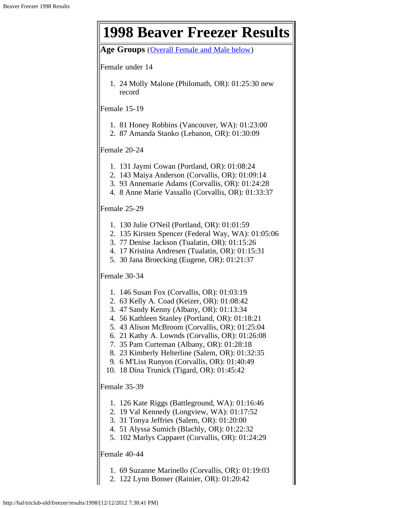l r

| <b>1998 Beaver Freezer Results</b>                                                                                                                                                                                                                                                                                                                                                                                                                                                         |
|--------------------------------------------------------------------------------------------------------------------------------------------------------------------------------------------------------------------------------------------------------------------------------------------------------------------------------------------------------------------------------------------------------------------------------------------------------------------------------------------|
| Age Groups (Overall Female and Male below)                                                                                                                                                                                                                                                                                                                                                                                                                                                 |
| Female under 14                                                                                                                                                                                                                                                                                                                                                                                                                                                                            |
| 1. 24 Molly Malone (Philomath, OR): 01:25:30 new<br>record                                                                                                                                                                                                                                                                                                                                                                                                                                 |
| Female 15-19                                                                                                                                                                                                                                                                                                                                                                                                                                                                               |
| 1. 81 Honey Robbins (Vancouver, WA): 01:23:00<br>2. 87 Amanda Stanko (Lebanon, OR): 01:30:09                                                                                                                                                                                                                                                                                                                                                                                               |
| Female 20-24                                                                                                                                                                                                                                                                                                                                                                                                                                                                               |
| 1. 131 Jaymi Cowan (Portland, OR): 01:08:24<br>2. 143 Maiya Anderson (Corvallis, OR): 01:09:14<br>3. 93 Annemarie Adams (Corvallis, OR): 01:24:28<br>4. 8 Anne Marie Vassallo (Corvallis, OR): 01:33:37                                                                                                                                                                                                                                                                                    |
| Female 25-29                                                                                                                                                                                                                                                                                                                                                                                                                                                                               |
| 1. 130 Julie O'Neil (Portland, OR): 01:01:59<br>2. 135 Kirsten Spencer (Federal Way, WA): 01:05:06<br>3. 77 Denise Jackson (Tualatin, OR): 01:15:26<br>4. 17 Kristina Andresen (Tualatin, OR): 01:15:31<br>5. 30 Jana Broecking (Eugene, OR): 01:21:37                                                                                                                                                                                                                                     |
| Female 30-34                                                                                                                                                                                                                                                                                                                                                                                                                                                                               |
| 1. 146 Susan Fox (Corvallis, OR): 01:03:19<br>2. 63 Kelly A. Coad (Keizer, OR): 01:08:42<br>3. 47 Sandy Kenny (Albany, OR): 01:13:34<br>4. 56 Kathleen Stanley (Portland, OR): 01:18:21<br>5. 43 Alison McBroom (Corvallis, OR): 01:25:04<br>6. 21 Kathy A. Lownds (Corvallis, OR): 01:26:08<br>7. 35 Pam Curteman (Albany, OR): 01:28:18<br>8. 23 Kimberly Helterline (Salem, OR): 01:32:35<br>9. 6 M'Liss Runyon (Corvallis, OR): 01:40:49<br>10. 18 Dina Trunick (Tigard, OR): 01:45:42 |
| Female 35-39                                                                                                                                                                                                                                                                                                                                                                                                                                                                               |
| 1. 126 Kate Riggs (Battleground, WA): 01:16:46<br>2. 19 Val Kennedy (Longview, WA): 01:17:52<br>3. 31 Tonya Jeffries (Salem, OR): 01:20:00<br>4. 51 Alyssa Sumich (Blachly, OR): 01:22:32<br>5. 102 Marlys Cappaert (Corvallis, OR): 01:24:29                                                                                                                                                                                                                                              |
| Female 40-44                                                                                                                                                                                                                                                                                                                                                                                                                                                                               |
| 1. 69 Suzanne Marinello (Corvallis, OR): 01:19:03<br>2. 122 Lynn Bonser (Rainier, OR): 01:20:42                                                                                                                                                                                                                                                                                                                                                                                            |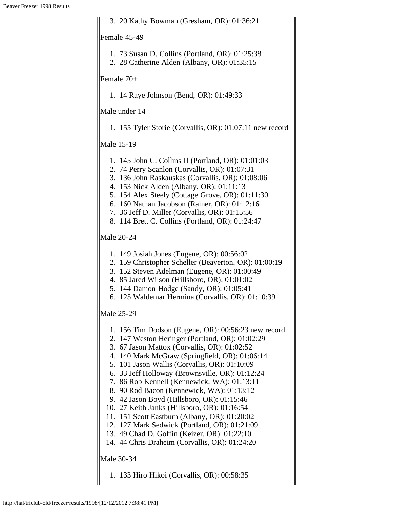3. 20 Kathy Bowman (Gresham, OR): 01:36:21 Female 45-49 1. 73 Susan D. Collins (Portland, OR): 01:25:38 2. 28 Catherine Alden (Albany, OR): 01:35:15 Female 70+ 1. 14 Raye Johnson (Bend, OR): 01:49:33 Male under 14 1. 155 Tyler Storie (Corvallis, OR): 01:07:11 new record Male 15-19 1. 145 John C. Collins II (Portland, OR): 01:01:03 2. 74 Perry Scanlon (Corvallis, OR): 01:07:31 3. 136 John Raskauskas (Corvallis, OR): 01:08:06 4. 153 Nick Alden (Albany, OR): 01:11:13 5. 154 Alex Steely (Cottage Grove, OR): 01:11:30 6. 160 Nathan Jacobson (Rainer, OR): 01:12:16 7. 36 Jeff D. Miller (Corvallis, OR): 01:15:56 8. 114 Brett C. Collins (Portland, OR): 01:24:47 Male 20-24 1. 149 Josiah Jones (Eugene, OR): 00:56:02 2. 159 Christopher Scheller (Beaverton, OR): 01:00:19 3. 152 Steven Adelman (Eugene, OR): 01:00:49 4. 85 Jared Wilson (Hillsboro, OR): 01:01:02 5. 144 Damon Hodge (Sandy, OR): 01:05:41 6. 125 Waldemar Hermina (Corvallis, OR): 01:10:39 Male 25-29 1. 156 Tim Dodson (Eugene, OR): 00:56:23 new record 2. 147 Weston Heringer (Portland, OR): 01:02:29 3. 67 Jason Mattox (Corvallis, OR): 01:02:52 4. 140 Mark McGraw (Springfield, OR): 01:06:14 5. 101 Jason Wallis (Corvallis, OR): 01:10:09 6. 33 Jeff Holloway (Brownsville, OR): 01:12:24 7. 86 Rob Kennell (Kennewick, WA): 01:13:11 8. 90 Rod Bacon (Kennewick, WA): 01:13:12 9. 42 Jason Boyd (Hillsboro, OR): 01:15:46 10. 27 Keith Janks (Hillsboro, OR): 01:16:54 11. 151 Scott Eastburn (Albany, OR): 01:20:02 12. 127 Mark Sedwick (Portland, OR): 01:21:09 13. 49 Chad D. Goffin (Keizer, OR): 01:22:10 14. 44 Chris Draheim (Corvallis, OR): 01:24:20 Male 30-34 1. 133 Hiro Hikoi (Corvallis, OR): 00:58:35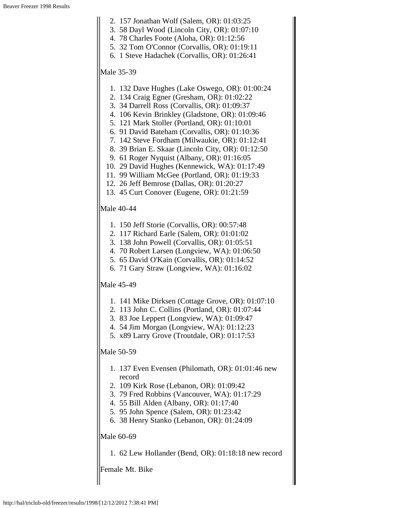- 2. 157 Jonathan Wolf (Salem, OR): 01:03:25
- 3. 58 Dayl Wood (Lincoln City, OR): 01:07:10
- 4. 78 Charles Foote (Aloha, OR): 01:12:56
- 5. 32 Tom O'Connor (Corvallis, OR): 01:19:11
- 6. 1 Steve Hadachek (Corvallis, OR): 01:26:41

#### Male 35-39

- 1. 132 Dave Hughes (Lake Oswego, OR): 01:00:24
- 2. 134 Craig Egner (Gresham, OR): 01:02:22
- 3. 34 Darrell Ross (Corvallis, OR): 01:09:37
- 4. 106 Kevin Brinkley (Gladstone, OR): 01:09:46
- 5. 121 Mark Stoller (Portland, OR): 01:10:01
- 6. 91 David Bateham (Corvallis, OR): 01:10:36
- 7. 142 Steve Fordham (Milwaukie, OR): 01:12:41
- 8. 39 Brian E. Skaar (Lincoln City, OR): 01:12:50
- 9. 61 Roger Nyquist (Albany, OR): 01:16:05
- 10. 29 David Hughes (Kennewick, WA): 01:17:49
- 11. 99 William McGee (Portland, OR): 01:19:33
- 12. 26 Jeff Bemrose (Dallas, OR): 01:20:27
- 13. 45 Curt Conover (Eugene, OR): 01:21:59

## Male 40-44

- 1. 150 Jeff Storie (Corvallis, OR): 00:57:48
- 2. 117 Richard Earle (Salem, OR): 01:01:02
- 3. 138 John Powell (Corvallis, OR): 01:05:51
- 4. 70 Robert Larsen (Longview, WA): 01:06:50
- 5. 65 David O'Kain (Corvallis, OR): 01:14:52
- 6. 71 Gary Straw (Longview, WA): 01:16:02

## Male 45-49

- 1. 141 Mike Dirksen (Cottage Grove, OR): 01:07:10
- 2. 113 John C. Collins (Portland, OR): 01:07:44
- 3. 83 Joe Leppert (Longview, WA): 01:09:47
- 4. 54 Jim Morgan (Longview, WA): 01:12:23
- 5. x89 Larry Grove (Troutdale, OR): 01:17:53

### Male 50-59

- 1. 137 Even Evensen (Philomath, OR): 01:01:46 new record
- 2. 109 Kirk Rose (Lebanon, OR): 01:09:42
- 3. 79 Fred Robbins (Vancouver, WA): 01:17:29
- 4. 55 Bill Alden (Albany, OR): 01:17:40
- 5. 95 John Spence (Salem, OR): 01:23:42
- 6. 38 Henry Stanko (Lebanon, OR): 01:24:09

### Male 60-69

1. 62 Lew Hollander (Bend, OR): 01:18:18 new record

Female Mt. Bike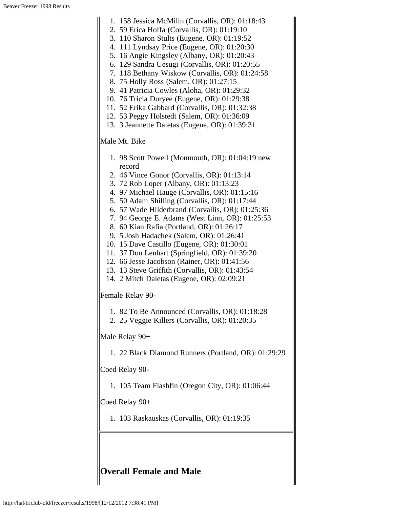|                  | 1. 158 Jessica McMilin (Corvallis, OR): 01:18:43     |  |
|------------------|------------------------------------------------------|--|
|                  | 2. 59 Erica Hoffa (Corvallis, OR): 01:19:10          |  |
|                  | 3. 110 Sharon Stults (Eugene, OR): 01:19:52          |  |
| 4.               | 111 Lyndsay Price (Eugene, OR): 01:20:30             |  |
|                  | 5. 16 Angie Kingsley (Albany, OR): 01:20:43          |  |
|                  | 6. 129 Sandra Uesugi (Corvallis, OR): 01:20:55       |  |
|                  | 7. 118 Bethany Wiskow (Corvallis, OR): 01:24:58      |  |
|                  | 8. 75 Holly Ross (Salem, OR): 01:27:15               |  |
|                  | 9. 41 Patricia Cowles (Aloha, OR): 01:29:32          |  |
|                  | 10. 76 Tricia Duryee (Eugene, OR): 01:29:38          |  |
|                  | 11. 52 Erika Gabbard (Corvallis, OR): 01:32:38       |  |
|                  | 12. 53 Peggy Holstedt (Salem, OR): 01:36:09          |  |
|                  | 13. 3 Jeannette Daletas (Eugene, OR): 01:39:31       |  |
|                  | Male Mt. Bike                                        |  |
|                  | 1. 98 Scott Powell (Monmouth, OR): 01:04:19 new      |  |
|                  | record                                               |  |
|                  | 2. 46 Vince Gonor (Corvallis, OR): 01:13:14          |  |
|                  | 3. 72 Rob Loper (Albany, OR): 01:13:23               |  |
|                  | 4. 97 Michael Hauge (Corvallis, OR): 01:15:16        |  |
|                  | 5. 50 Adam Shilling (Corvallis, OR): 01:17:44        |  |
|                  | 6. 57 Wade Hilderbrand (Corvallis, OR): 01:25:36     |  |
|                  | 7. 94 George E. Adams (West Linn, OR): 01:25:53      |  |
|                  | 8. 60 Kian Rafia (Portland, OR): 01:26:17            |  |
|                  | 9. 5 Josh Hadachek (Salem, OR): 01:26:41             |  |
|                  | 10. 15 Dave Castillo (Eugene, OR): 01:30:01          |  |
|                  | 11. 37 Don Lenhart (Springfield, OR): 01:39:20       |  |
|                  | 12. 66 Jesse Jacobson (Rainer, OR): 01:41:56         |  |
|                  | 13. 13 Steve Griffith (Corvallis, OR): 01:43:54      |  |
|                  | 14. 2 Mitch Daletas (Eugene, OR): 02:09:21           |  |
| Female Relay 90- |                                                      |  |
|                  | 1. 82 To Be Announced (Corvallis, OR): 01:18:28      |  |
|                  | 2. 25 Veggie Killers (Corvallis, OR): 01:20:35       |  |
|                  | Male Relay 90+                                       |  |
|                  | 1. 22 Black Diamond Runners (Portland, OR): 01:29:29 |  |
|                  | Coed Relay 90-                                       |  |
|                  | 1. 105 Team Flashfin (Oregon City, OR): 01:06:44     |  |
|                  | Coed Relay 90+                                       |  |
| 1.               | 103 Raskauskas (Corvallis, OR): 01:19:35             |  |
|                  |                                                      |  |

# <span id="page-3-0"></span>**Overall Female and Male**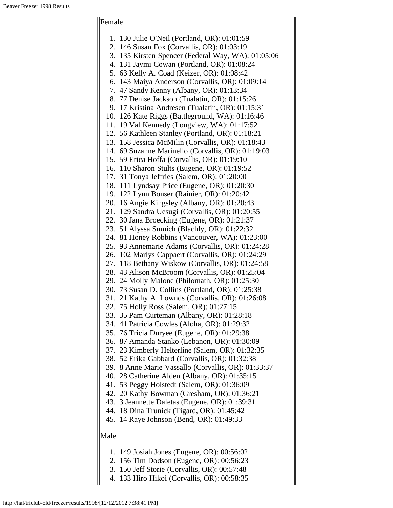#### Female

- 2. 146 Susan Fox (Corvallis, OR): 01:03:19
- 3. 135 Kirsten Spencer (Federal Way, WA): 01:05:06
- 4. 131 Jaymi Cowan (Portland, OR): 01:08:24
- 5. 63 Kelly A. Coad (Keizer, OR): 01:08:42
- 6. 143 Maiya Anderson (Corvallis, OR): 01:09:14
- 7. 47 Sandy Kenny (Albany, OR): 01:13:34
- 8. 77 Denise Jackson (Tualatin, OR): 01:15:26
- 9. 17 Kristina Andresen (Tualatin, OR): 01:15:31
- 10. 126 Kate Riggs (Battleground, WA): 01:16:46
- 11. 19 Val Kennedy (Longview, WA): 01:17:52
- 12. 56 Kathleen Stanley (Portland, OR): 01:18:21
- 13. 158 Jessica McMilin (Corvallis, OR): 01:18:43
- 14. 69 Suzanne Marinello (Corvallis, OR): 01:19:03
- 15. 59 Erica Hoffa (Corvallis, OR): 01:19:10
- 16. 110 Sharon Stults (Eugene, OR): 01:19:52
- 17. 31 Tonya Jeffries (Salem, OR): 01:20:00
- 18. 111 Lyndsay Price (Eugene, OR): 01:20:30
- 19. 122 Lynn Bonser (Rainier, OR): 01:20:42
- 20. 16 Angie Kingsley (Albany, OR): 01:20:43
- 21. 129 Sandra Uesugi (Corvallis, OR): 01:20:55
- 22. 30 Jana Broecking (Eugene, OR): 01:21:37
- 23. 51 Alyssa Sumich (Blachly, OR): 01:22:32
- 24. 81 Honey Robbins (Vancouver, WA): 01:23:00
- 25. 93 Annemarie Adams (Corvallis, OR): 01:24:28
- 26. 102 Marlys Cappaert (Corvallis, OR): 01:24:29
- 27. 118 Bethany Wiskow (Corvallis, OR): 01:24:58
- 28. 43 Alison McBroom (Corvallis, OR): 01:25:04
- 29. 24 Molly Malone (Philomath, OR): 01:25:30
- 30. 73 Susan D. Collins (Portland, OR): 01:25:38
- 31. 21 Kathy A. Lownds (Corvallis, OR): 01:26:08
- 32. 75 Holly Ross (Salem, OR): 01:27:15
- 33. 35 Pam Curteman (Albany, OR): 01:28:18
- 34. 41 Patricia Cowles (Aloha, OR): 01:29:32
- 35. 76 Tricia Duryee (Eugene, OR): 01:29:38
- 36. 87 Amanda Stanko (Lebanon, OR): 01:30:09
- 37. 23 Kimberly Helterline (Salem, OR): 01:32:35
- 38. 52 Erika Gabbard (Corvallis, OR): 01:32:38
- 39. 8 Anne Marie Vassallo (Corvallis, OR): 01:33:37
- 40. 28 Catherine Alden (Albany, OR): 01:35:15
- 41. 53 Peggy Holstedt (Salem, OR): 01:36:09
- 42. 20 Kathy Bowman (Gresham, OR): 01:36:21
- 43. 3 Jeannette Daletas (Eugene, OR): 01:39:31
- 44. 18 Dina Trunick (Tigard, OR): 01:45:42
- 45. 14 Raye Johnson (Bend, OR): 01:49:33

#### Male

- 1. 149 Josiah Jones (Eugene, OR): 00:56:02
- 2. 156 Tim Dodson (Eugene, OR): 00:56:23
- 3. 150 Jeff Storie (Corvallis, OR): 00:57:48
- 4. 133 Hiro Hikoi (Corvallis, OR): 00:58:35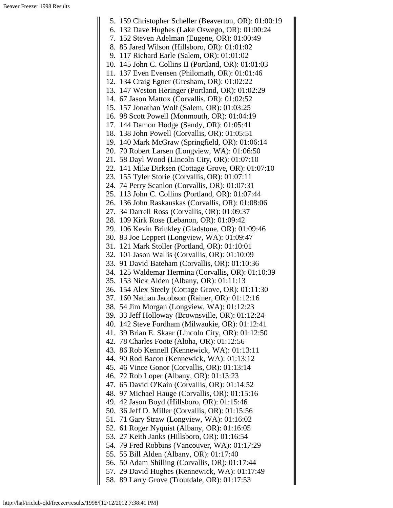5. 159 Christopher Scheller (Beaverton, OR): 01:00:19 6. 132 Dave Hughes (Lake Oswego, OR): 01:00:24 7. 152 Steven Adelman (Eugene, OR): 01:00:49 8. 85 Jared Wilson (Hillsboro, OR): 01:01:02 9. 117 Richard Earle (Salem, OR): 01:01:02 10. 145 John C. Collins II (Portland, OR): 01:01:03 11. 137 Even Evensen (Philomath, OR): 01:01:46 12. 134 Craig Egner (Gresham, OR): 01:02:22 13. 147 Weston Heringer (Portland, OR): 01:02:29 14. 67 Jason Mattox (Corvallis, OR): 01:02:52 15. 157 Jonathan Wolf (Salem, OR): 01:03:25 16. 98 Scott Powell (Monmouth, OR): 01:04:19 17. 144 Damon Hodge (Sandy, OR): 01:05:41 18. 138 John Powell (Corvallis, OR): 01:05:51 19. 140 Mark McGraw (Springfield, OR): 01:06:14 20. 70 Robert Larsen (Longview, WA): 01:06:50 21. 58 Dayl Wood (Lincoln City, OR): 01:07:10 22. 141 Mike Dirksen (Cottage Grove, OR): 01:07:10 23. 155 Tyler Storie (Corvallis, OR): 01:07:11 24. 74 Perry Scanlon (Corvallis, OR): 01:07:31 25. 113 John C. Collins (Portland, OR): 01:07:44 26. 136 John Raskauskas (Corvallis, OR): 01:08:06 27. 34 Darrell Ross (Corvallis, OR): 01:09:37 28. 109 Kirk Rose (Lebanon, OR): 01:09:42 29. 106 Kevin Brinkley (Gladstone, OR): 01:09:46 30. 83 Joe Leppert (Longview, WA): 01:09:47 31. 121 Mark Stoller (Portland, OR): 01:10:01 32. 101 Jason Wallis (Corvallis, OR): 01:10:09 33. 91 David Bateham (Corvallis, OR): 01:10:36 34. 125 Waldemar Hermina (Corvallis, OR): 01:10:39 35. 153 Nick Alden (Albany, OR): 01:11:13 36. 154 Alex Steely (Cottage Grove, OR): 01:11:30 37. 160 Nathan Jacobson (Rainer, OR): 01:12:16 38. 54 Jim Morgan (Longview, WA): 01:12:23 39. 33 Jeff Holloway (Brownsville, OR): 01:12:24 40. 142 Steve Fordham (Milwaukie, OR): 01:12:41 41. 39 Brian E. Skaar (Lincoln City, OR): 01:12:50 42. 78 Charles Foote (Aloha, OR): 01:12:56 43. 86 Rob Kennell (Kennewick, WA): 01:13:11 44. 90 Rod Bacon (Kennewick, WA): 01:13:12 45. 46 Vince Gonor (Corvallis, OR): 01:13:14 46. 72 Rob Loper (Albany, OR): 01:13:23 47. 65 David O'Kain (Corvallis, OR): 01:14:52 48. 97 Michael Hauge (Corvallis, OR): 01:15:16 49. 42 Jason Boyd (Hillsboro, OR): 01:15:46 50. 36 Jeff D. Miller (Corvallis, OR): 01:15:56 51. 71 Gary Straw (Longview, WA): 01:16:02 52. 61 Roger Nyquist (Albany, OR): 01:16:05 53. 27 Keith Janks (Hillsboro, OR): 01:16:54 54. 79 Fred Robbins (Vancouver, WA): 01:17:29 55. 55 Bill Alden (Albany, OR): 01:17:40 56. 50 Adam Shilling (Corvallis, OR): 01:17:44 57. 29 David Hughes (Kennewick, WA): 01:17:49 58. 89 Larry Grove (Troutdale, OR): 01:17:53